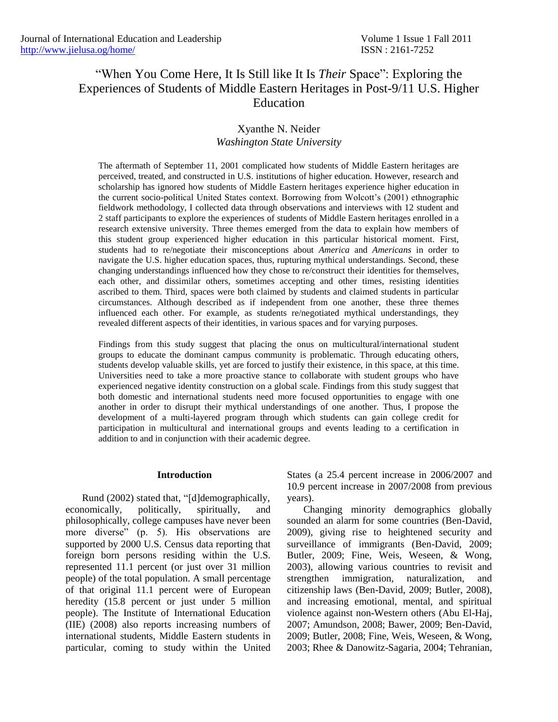# "When You Come Here, It Is Still like It Is *Their* Space": Exploring the Experiences of Students of Middle Eastern Heritages in Post-9/11 U.S. Higher Education

# Xyanthe N. Neider *Washington State University*

The aftermath of September 11, 2001 complicated how students of Middle Eastern heritages are perceived, treated, and constructed in U.S. institutions of higher education. However, research and scholarship has ignored how students of Middle Eastern heritages experience higher education in the current socio-political United States context. Borrowing from Wolcott's (2001) ethnographic fieldwork methodology, I collected data through observations and interviews with 12 student and 2 staff participants to explore the experiences of students of Middle Eastern heritages enrolled in a research extensive university. Three themes emerged from the data to explain how members of this student group experienced higher education in this particular historical moment. First, students had to re/negotiate their misconceptions about *America* and *Americans* in order to navigate the U.S. higher education spaces, thus, rupturing mythical understandings. Second, these changing understandings influenced how they chose to re/construct their identities for themselves, each other, and dissimilar others, sometimes accepting and other times, resisting identities ascribed to them. Third, spaces were both claimed by students and claimed students in particular circumstances. Although described as if independent from one another, these three themes influenced each other. For example, as students re/negotiated mythical understandings, they revealed different aspects of their identities, in various spaces and for varying purposes.

Findings from this study suggest that placing the onus on multicultural/international student groups to educate the dominant campus community is problematic. Through educating others, students develop valuable skills, yet are forced to justify their existence, in this space, at this time. Universities need to take a more proactive stance to collaborate with student groups who have experienced negative identity construction on a global scale. Findings from this study suggest that both domestic and international students need more focused opportunities to engage with one another in order to disrupt their mythical understandings of one another. Thus, I propose the development of a multi-layered program through which students can gain college credit for participation in multicultural and international groups and events leading to a certification in addition to and in conjunction with their academic degree.

#### **Introduction**

Rund (2002) stated that, "[d]demographically, economically, politically, spiritually, and philosophically, college campuses have never been more diverse" (p. 5). His observations are supported by 2000 U.S. Census data reporting that foreign born persons residing within the U.S. represented 11.1 percent (or just over 31 million people) of the total population. A small percentage of that original 11.1 percent were of European heredity (15.8 percent or just under 5 million people). The Institute of International Education (IIE) (2008) also reports increasing numbers of international students, Middle Eastern students in particular, coming to study within the United States (a 25.4 percent increase in 2006/2007 and 10.9 percent increase in 2007/2008 from previous years).

Changing minority demographics globally sounded an alarm for some countries (Ben-David, 2009), giving rise to heightened security and surveillance of immigrants (Ben-David, 2009; Butler, 2009; Fine, Weis, Weseen, & Wong, 2003), allowing various countries to revisit and strengthen immigration, naturalization, and citizenship laws (Ben-David, 2009; Butler, 2008), and increasing emotional, mental, and spiritual violence against non-Western others (Abu El-Haj, 2007; Amundson, 2008; Bawer, 2009; Ben-David, 2009; Butler, 2008; Fine, Weis, Weseen, & Wong, 2003; Rhee & Danowitz-Sagaria, 2004; Tehranian,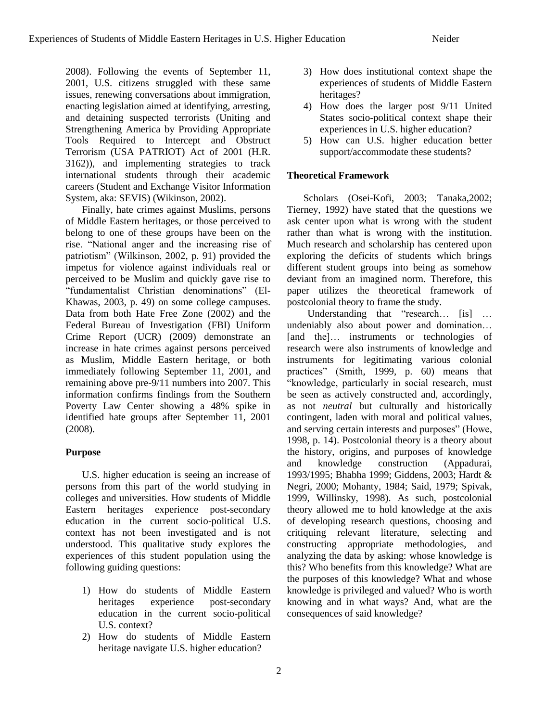2008). Following the events of September 11, 2001, U.S. citizens struggled with these same issues, renewing conversations about immigration, enacting legislation aimed at identifying, arresting, and detaining suspected terrorists (Uniting and Strengthening America by Providing Appropriate Tools Required to Intercept and Obstruct Terrorism (USA PATRIOT) Act of 2001 (H.R. 3162)), and implementing strategies to track international students through their academic careers (Student and Exchange Visitor Information System, aka: SEVIS) (Wikinson, 2002).

Finally, hate crimes against Muslims, persons of Middle Eastern heritages, or those perceived to belong to one of these groups have been on the rise. "National anger and the increasing rise of patriotism" (Wilkinson, 2002, p. 91) provided the impetus for violence against individuals real or perceived to be Muslim and quickly gave rise to ―fundamentalist Christian denominations‖ (El-Khawas, 2003, p. 49) on some college campuses. Data from both Hate Free Zone (2002) and the Federal Bureau of Investigation (FBI) Uniform Crime Report (UCR) (2009) demonstrate an increase in hate crimes against persons perceived as Muslim, Middle Eastern heritage, or both immediately following September 11, 2001, and remaining above pre-9/11 numbers into 2007. This information confirms findings from the Southern Poverty Law Center showing a 48% spike in identified hate groups after September 11, 2001 (2008).

# **Purpose**

U.S. higher education is seeing an increase of persons from this part of the world studying in colleges and universities. How students of Middle Eastern heritages experience post-secondary education in the current socio-political U.S. context has not been investigated and is not understood. This qualitative study explores the experiences of this student population using the following guiding questions:

- 1) How do students of Middle Eastern heritages experience post-secondary education in the current socio-political U.S. context?
- 2) How do students of Middle Eastern heritage navigate U.S. higher education?
- 3) How does institutional context shape the experiences of students of Middle Eastern heritages?
- 4) How does the larger post 9/11 United States socio-political context shape their experiences in U.S. higher education?
- 5) How can U.S. higher education better support/accommodate these students?

# **Theoretical Framework**

Scholars (Osei-Kofi, 2003; Tanaka,2002; Tierney, 1992) have stated that the questions we ask center upon what is wrong with the student rather than what is wrong with the institution. Much research and scholarship has centered upon exploring the deficits of students which brings different student groups into being as somehow deviant from an imagined norm. Therefore, this paper utilizes the theoretical framework of postcolonial theory to frame the study.

Understanding that "research... [is] ... undeniably also about power and domination… [and the]... instruments or technologies of research were also instruments of knowledge and instruments for legitimating various colonial practices" (Smith, 1999, p. 60) means that "knowledge, particularly in social research, must be seen as actively constructed and, accordingly, as not *neutral* but culturally and historically contingent, laden with moral and political values, and serving certain interests and purposes" (Howe, 1998, p. 14). Postcolonial theory is a theory about the history, origins, and purposes of knowledge and knowledge construction (Appadurai, 1993/1995; Bhabha 1999; Giddens, 2003; Hardt & Negri, 2000; Mohanty, 1984; Said, 1979; Spivak, 1999, Willinsky, 1998). As such, postcolonial theory allowed me to hold knowledge at the axis of developing research questions, choosing and critiquing relevant literature, selecting and constructing appropriate methodologies, and analyzing the data by asking: whose knowledge is this? Who benefits from this knowledge? What are the purposes of this knowledge? What and whose knowledge is privileged and valued? Who is worth knowing and in what ways? And, what are the consequences of said knowledge?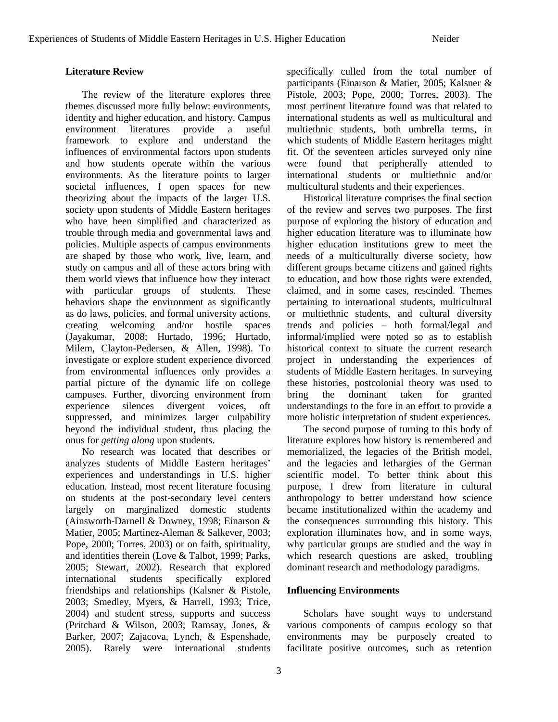# **Literature Review**

The review of the literature explores three themes discussed more fully below: environments, identity and higher education, and history. Campus environment literatures provide a useful framework to explore and understand the influences of environmental factors upon students and how students operate within the various environments. As the literature points to larger societal influences, I open spaces for new theorizing about the impacts of the larger U.S. society upon students of Middle Eastern heritages who have been simplified and characterized as trouble through media and governmental laws and policies. Multiple aspects of campus environments are shaped by those who work, live, learn, and study on campus and all of these actors bring with them world views that influence how they interact with particular groups of students. These behaviors shape the environment as significantly as do laws, policies, and formal university actions, creating welcoming and/or hostile spaces (Jayakumar, 2008; Hurtado, 1996; Hurtado, Milem, Clayton-Pedersen, & Allen, 1998). To investigate or explore student experience divorced from environmental influences only provides a partial picture of the dynamic life on college campuses. Further, divorcing environment from experience silences divergent voices, oft suppressed, and minimizes larger culpability beyond the individual student, thus placing the onus for *getting along* upon students.

No research was located that describes or analyzes students of Middle Eastern heritages' experiences and understandings in U.S. higher education. Instead, most recent literature focusing on students at the post-secondary level centers largely on marginalized domestic students (Ainsworth-Darnell & Downey, 1998; Einarson & Matier, 2005; Martinez-Aleman & Salkever, 2003; Pope, 2000; Torres, 2003) or on faith, spirituality, and identities therein (Love & Talbot, 1999; Parks, 2005; Stewart, 2002). Research that explored international students specifically explored friendships and relationships (Kalsner & Pistole, 2003; Smedley, Myers, & Harrell, 1993; Trice, 2004) and student stress, supports and success (Pritchard & Wilson, 2003; Ramsay, Jones, & Barker, 2007; Zajacova, Lynch, & Espenshade, 2005). Rarely were international students

specifically culled from the total number of participants (Einarson & Matier, 2005; Kalsner & Pistole, 2003; Pope, 2000; Torres, 2003). The most pertinent literature found was that related to international students as well as multicultural and multiethnic students, both umbrella terms, in which students of Middle Eastern heritages might fit. Of the seventeen articles surveyed only nine were found that peripherally attended to international students or multiethnic and/or multicultural students and their experiences.

Historical literature comprises the final section of the review and serves two purposes. The first purpose of exploring the history of education and higher education literature was to illuminate how higher education institutions grew to meet the needs of a multiculturally diverse society, how different groups became citizens and gained rights to education, and how those rights were extended, claimed, and in some cases, rescinded. Themes pertaining to international students, multicultural or multiethnic students, and cultural diversity trends and policies – both formal/legal and informal/implied were noted so as to establish historical context to situate the current research project in understanding the experiences of students of Middle Eastern heritages. In surveying these histories, postcolonial theory was used to bring the dominant taken for granted understandings to the fore in an effort to provide a more holistic interpretation of student experiences.

The second purpose of turning to this body of literature explores how history is remembered and memorialized, the legacies of the British model, and the legacies and lethargies of the German scientific model. To better think about this purpose, I drew from literature in cultural anthropology to better understand how science became institutionalized within the academy and the consequences surrounding this history. This exploration illuminates how, and in some ways, why particular groups are studied and the way in which research questions are asked, troubling dominant research and methodology paradigms.

### **Influencing Environments**

Scholars have sought ways to understand various components of campus ecology so that environments may be purposely created to facilitate positive outcomes, such as retention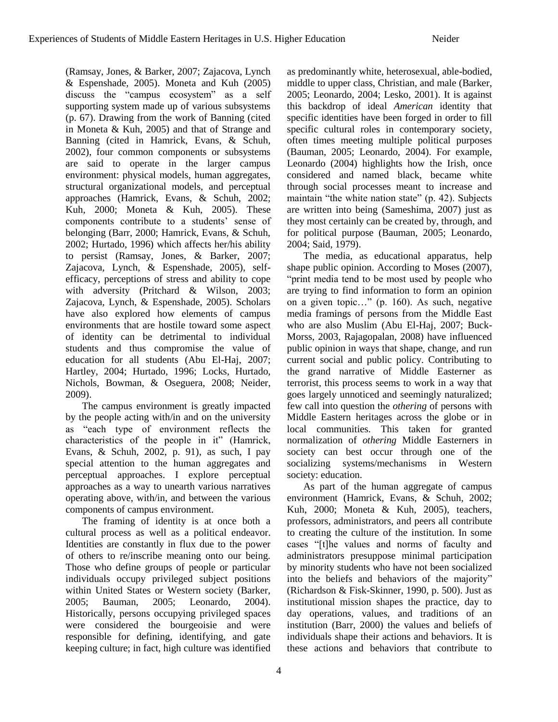(Ramsay, Jones, & Barker, 2007; Zajacova, Lynch & Espenshade, 2005). Moneta and Kuh (2005) discuss the "campus ecosystem" as a self supporting system made up of various subsystems (p. 67). Drawing from the work of Banning (cited in Moneta & Kuh, 2005) and that of Strange and Banning (cited in Hamrick, Evans, & Schuh, 2002), four common components or subsystems are said to operate in the larger campus environment: physical models, human aggregates, structural organizational models, and perceptual approaches (Hamrick, Evans, & Schuh, 2002; Kuh, 2000; Moneta & Kuh, 2005). These components contribute to a students' sense of belonging (Barr, 2000; Hamrick, Evans, & Schuh, 2002; Hurtado, 1996) which affects her/his ability to persist (Ramsay, Jones, & Barker, 2007; Zajacova, Lynch, & Espenshade, 2005), selfefficacy, perceptions of stress and ability to cope with adversity (Pritchard & Wilson, 2003; Zajacova, Lynch, & Espenshade, 2005). Scholars have also explored how elements of campus environments that are hostile toward some aspect of identity can be detrimental to individual students and thus compromise the value of education for all students (Abu El-Haj, 2007; Hartley, 2004; Hurtado, 1996; Locks, Hurtado, Nichols, Bowman, & Oseguera, 2008; Neider, 2009).

The campus environment is greatly impacted by the people acting with/in and on the university as "each type of environment reflects the characteristics of the people in it" (Hamrick, Evans, & Schuh, 2002, p. 91), as such, I pay special attention to the human aggregates and perceptual approaches. I explore perceptual approaches as a way to unearth various narratives operating above, with/in, and between the various components of campus environment.

The framing of identity is at once both a cultural process as well as a political endeavor. Identities are constantly in flux due to the power of others to re/inscribe meaning onto our being. Those who define groups of people or particular individuals occupy privileged subject positions within United States or Western society (Barker, 2005; Bauman, 2005; Leonardo, 2004). Historically, persons occupying privileged spaces were considered the bourgeoisie and were responsible for defining, identifying, and gate keeping culture; in fact, high culture was identified

as predominantly white, heterosexual, able-bodied, middle to upper class, Christian, and male (Barker, 2005; Leonardo, 2004; Lesko, 2001). It is against this backdrop of ideal *American* identity that specific identities have been forged in order to fill specific cultural roles in contemporary society, often times meeting multiple political purposes (Bauman, 2005; Leonardo, 2004). For example, Leonardo (2004) highlights how the Irish, once considered and named black, became white through social processes meant to increase and maintain "the white nation state" (p. 42). Subjects are written into being (Sameshima, 2007) just as they most certainly can be created by, through, and for political purpose (Bauman, 2005; Leonardo, 2004; Said, 1979).

The media, as educational apparatus, help shape public opinion. According to Moses (2007), "print media tend to be most used by people who are trying to find information to form an opinion on a given topic..." (p. 160). As such, negative media framings of persons from the Middle East who are also Muslim (Abu El-Haj, 2007; Buck-Morss, 2003, Rajagopalan, 2008) have influenced public opinion in ways that shape, change, and run current social and public policy. Contributing to the grand narrative of Middle Easterner as terrorist, this process seems to work in a way that goes largely unnoticed and seemingly naturalized; few call into question the *othering* of persons with Middle Eastern heritages across the globe or in local communities. This taken for granted normalization of *othering* Middle Easterners in society can best occur through one of the socializing systems/mechanisms in Western society: education.

As part of the human aggregate of campus environment (Hamrick, Evans, & Schuh, 2002; Kuh, 2000; Moneta & Kuh, 2005), teachers, professors, administrators, and peers all contribute to creating the culture of the institution. In some cases "[t]he values and norms of faculty and administrators presuppose minimal participation by minority students who have not been socialized into the beliefs and behaviors of the majority" (Richardson & Fisk-Skinner, 1990, p. 500). Just as institutional mission shapes the practice, day to day operations, values, and traditions of an institution (Barr, 2000) the values and beliefs of individuals shape their actions and behaviors. It is these actions and behaviors that contribute to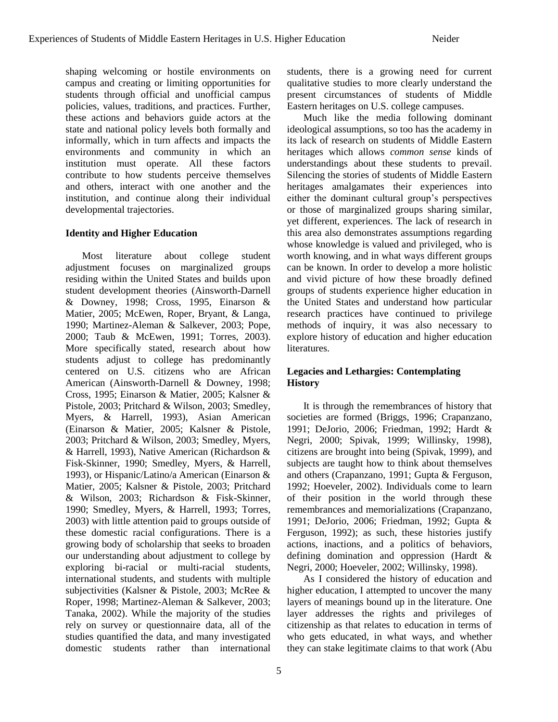shaping welcoming or hostile environments on campus and creating or limiting opportunities for students through official and unofficial campus policies, values, traditions, and practices. Further, these actions and behaviors guide actors at the state and national policy levels both formally and informally, which in turn affects and impacts the environments and community in which an institution must operate. All these factors contribute to how students perceive themselves and others, interact with one another and the institution, and continue along their individual developmental trajectories.

# **Identity and Higher Education**

Most literature about college student adjustment focuses on marginalized groups residing within the United States and builds upon student development theories (Ainsworth-Darnell & Downey, 1998; Cross, 1995, Einarson & Matier, 2005; McEwen, Roper, Bryant, & Langa, 1990; Martinez-Aleman & Salkever, 2003; Pope, 2000; Taub & McEwen, 1991; Torres, 2003). More specifically stated, research about how students adjust to college has predominantly centered on U.S. citizens who are African American (Ainsworth-Darnell & Downey, 1998; Cross, 1995; Einarson & Matier, 2005; Kalsner & Pistole, 2003; Pritchard & Wilson, 2003; Smedley, Myers, & Harrell, 1993), Asian American (Einarson & Matier, 2005; Kalsner & Pistole, 2003; Pritchard & Wilson, 2003; Smedley, Myers, & Harrell, 1993), Native American (Richardson & Fisk-Skinner, 1990; Smedley, Myers, & Harrell, 1993), or Hispanic/Latino/a American (Einarson & Matier, 2005; Kalsner & Pistole, 2003; Pritchard & Wilson, 2003; Richardson & Fisk-Skinner, 1990; Smedley, Myers, & Harrell, 1993; Torres, 2003) with little attention paid to groups outside of these domestic racial configurations. There is a growing body of scholarship that seeks to broaden our understanding about adjustment to college by exploring bi-racial or multi-racial students, international students, and students with multiple subjectivities (Kalsner & Pistole, 2003; McRee & Roper, 1998; Martinez-Aleman & Salkever, 2003; Tanaka, 2002). While the majority of the studies rely on survey or questionnaire data, all of the studies quantified the data, and many investigated domestic students rather than international

students, there is a growing need for current qualitative studies to more clearly understand the present circumstances of students of Middle Eastern heritages on U.S. college campuses.

Much like the media following dominant ideological assumptions, so too has the academy in its lack of research on students of Middle Eastern heritages which allows *common sense* kinds of understandings about these students to prevail. Silencing the stories of students of Middle Eastern heritages amalgamates their experiences into either the dominant cultural group's perspectives or those of marginalized groups sharing similar, yet different, experiences. The lack of research in this area also demonstrates assumptions regarding whose knowledge is valued and privileged, who is worth knowing, and in what ways different groups can be known. In order to develop a more holistic and vivid picture of how these broadly defined groups of students experience higher education in the United States and understand how particular research practices have continued to privilege methods of inquiry, it was also necessary to explore history of education and higher education literatures.

# **Legacies and Lethargies: Contemplating History**

It is through the remembrances of history that societies are formed (Briggs, 1996; Crapanzano, 1991; DeJorio, 2006; Friedman, 1992; Hardt & Negri, 2000; Spivak, 1999; Willinsky, 1998), citizens are brought into being (Spivak, 1999), and subjects are taught how to think about themselves and others (Crapanzano, 1991; Gupta & Ferguson, 1992; Hoeveler, 2002). Individuals come to learn of their position in the world through these remembrances and memorializations (Crapanzano, 1991; DeJorio, 2006; Friedman, 1992; Gupta & Ferguson, 1992); as such, these histories justify actions, inactions, and a politics of behaviors, defining domination and oppression (Hardt & Negri, 2000; Hoeveler, 2002; Willinsky, 1998).

As I considered the history of education and higher education, I attempted to uncover the many layers of meanings bound up in the literature. One layer addresses the rights and privileges of citizenship as that relates to education in terms of who gets educated, in what ways, and whether they can stake legitimate claims to that work (Abu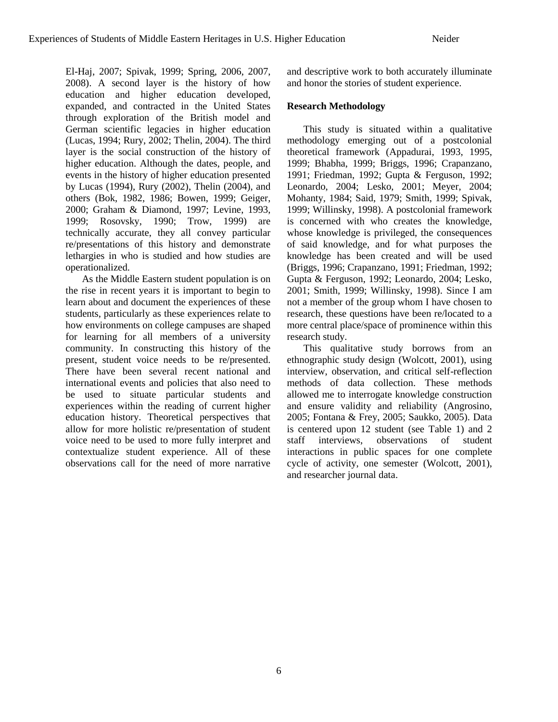El-Haj, 2007; Spivak, 1999; Spring, 2006, 2007, 2008). A second layer is the history of how education and higher education developed, expanded, and contracted in the United States through exploration of the British model and German scientific legacies in higher education (Lucas, 1994; Rury, 2002; Thelin, 2004). The third layer is the social construction of the history of higher education. Although the dates, people, and events in the history of higher education presented by Lucas (1994), Rury (2002), Thelin (2004), and others (Bok, 1982, 1986; Bowen, 1999; Geiger, 2000; Graham & Diamond, 1997; Levine, 1993, 1999; Rosovsky, 1990; Trow, 1999) are technically accurate, they all convey particular re/presentations of this history and demonstrate lethargies in who is studied and how studies are operationalized.

As the Middle Eastern student population is on the rise in recent years it is important to begin to learn about and document the experiences of these students, particularly as these experiences relate to how environments on college campuses are shaped for learning for all members of a university community. In constructing this history of the present, student voice needs to be re/presented. There have been several recent national and international events and policies that also need to be used to situate particular students and experiences within the reading of current higher education history. Theoretical perspectives that allow for more holistic re/presentation of student voice need to be used to more fully interpret and contextualize student experience. All of these observations call for the need of more narrative

and descriptive work to both accurately illuminate and honor the stories of student experience.

### **Research Methodology**

This study is situated within a qualitative methodology emerging out of a postcolonial theoretical framework (Appadurai, 1993, 1995, 1999; Bhabha, 1999; Briggs, 1996; Crapanzano, 1991; Friedman, 1992; Gupta & Ferguson, 1992; Leonardo, 2004; Lesko, 2001; Meyer, 2004; Mohanty, 1984; Said, 1979; Smith, 1999; Spivak, 1999; Willinsky, 1998). A postcolonial framework is concerned with who creates the knowledge, whose knowledge is privileged, the consequences of said knowledge, and for what purposes the knowledge has been created and will be used (Briggs, 1996; Crapanzano, 1991; Friedman, 1992; Gupta & Ferguson, 1992; Leonardo, 2004; Lesko, 2001; Smith, 1999; Willinsky, 1998). Since I am not a member of the group whom I have chosen to research, these questions have been re/located to a more central place/space of prominence within this research study.

This qualitative study borrows from an ethnographic study design (Wolcott, 2001), using interview, observation, and critical self-reflection methods of data collection. These methods allowed me to interrogate knowledge construction and ensure validity and reliability (Angrosino, 2005; Fontana & Frey, 2005; Saukko, 2005). Data is centered upon 12 student (see Table 1) and 2 staff interviews, observations of student interactions in public spaces for one complete cycle of activity, one semester (Wolcott, 2001), and researcher journal data.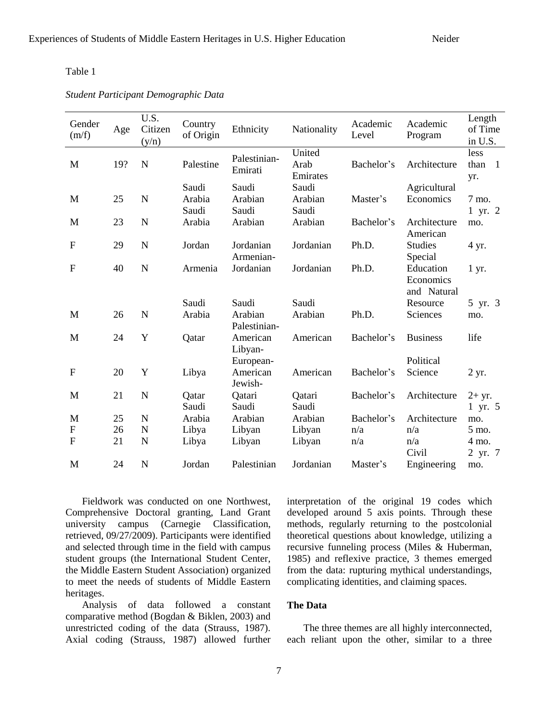#### Table 1

*Student Participant Demographic Data*

| Gender<br>(m/f)           | Age | U.S.<br>Citizen<br>(y/n) | Country<br>of Origin | Ethnicity               | Nationality                | Academic<br>Level | Academic<br>Program                   | Length<br>of Time<br>in U.S.          |
|---------------------------|-----|--------------------------|----------------------|-------------------------|----------------------------|-------------------|---------------------------------------|---------------------------------------|
| M                         | 19? | N                        | Palestine            | Palestinian-<br>Emirati | United<br>Arab<br>Emirates | Bachelor's        | Architecture                          | less<br>than<br>$\overline{1}$<br>yr. |
|                           |     |                          | Saudi                | Saudi                   | Saudi                      |                   | Agricultural                          |                                       |
| M                         | 25  | $\mathbf N$              | Arabia<br>Saudi      | Arabian<br>Saudi        | Arabian<br>Saudi           | Master's          | Economics                             | 7 mo.<br>1 yr. 2                      |
| M                         | 23  | N                        | Arabia               | Arabian                 | Arabian                    | Bachelor's        | Architecture<br>American              | mo.                                   |
| $\boldsymbol{\mathrm{F}}$ | 29  | $\mathbf N$              | Jordan               | Jordanian<br>Armenian-  | Jordanian                  | Ph.D.             | <b>Studies</b><br>Special             | 4 yr.                                 |
| $\overline{F}$            | 40  | N                        | Armenia              | Jordanian               | Jordanian                  | Ph.D.             | Education<br>Economics<br>and Natural | $1 \, yr.$                            |
|                           |     |                          | Saudi                | Saudi                   | Saudi                      |                   | Resource                              | 5 yr. 3                               |
| M                         | 26  | N                        | Arabia               | Arabian<br>Palestinian- | Arabian                    | Ph.D.             | Sciences                              | mo.                                   |
| M                         | 24  | Y                        | Qatar                | American<br>Libyan-     | American                   | Bachelor's        | <b>Business</b>                       | life                                  |
|                           |     |                          |                      | European-               |                            |                   | Political                             |                                       |
| $\mathbf{F}$              | 20  | Y                        | Libya                | American<br>Jewish-     | American                   | Bachelor's        | Science                               | 2 yr.                                 |
| M                         | 21  | $\mathbf N$              | Qatar<br>Saudi       | Qatari<br>Saudi         | Qatari<br>Saudi            | Bachelor's        | Architecture                          | $2+$ yr.<br>1 yr. 5                   |
| M                         | 25  | $\mathbf N$              | Arabia               | Arabian                 | Arabian                    | Bachelor's        | Architecture                          | mo.                                   |
| $\boldsymbol{\mathrm{F}}$ | 26  | N                        | Libya                | Libyan                  | Libyan                     | n/a               | n/a                                   | 5 mo.                                 |
| $\overline{F}$            | 21  | $\mathbf N$              | Libya                | Libyan                  | Libyan                     | n/a               | n/a<br>Civil                          | 4 mo.<br>2 yr. 7                      |
| M                         | 24  | $\mathbf N$              | Jordan               | Palestinian             | Jordanian                  | Master's          | Engineering                           | mo.                                   |

Fieldwork was conducted on one Northwest, Comprehensive Doctoral granting, Land Grant university campus (Carnegie Classification, retrieved, 09/27/2009). Participants were identified and selected through time in the field with campus student groups (the International Student Center, the Middle Eastern Student Association) organized to meet the needs of students of Middle Eastern heritages.

Analysis of data followed a constant comparative method (Bogdan & Biklen, 2003) and unrestricted coding of the data (Strauss, 1987). Axial coding (Strauss, 1987) allowed further

interpretation of the original 19 codes which developed around 5 axis points. Through these methods, regularly returning to the postcolonial theoretical questions about knowledge, utilizing a recursive funneling process (Miles & Huberman, 1985) and reflexive practice, 3 themes emerged from the data: rupturing mythical understandings, complicating identities, and claiming spaces.

### **The Data**

The three themes are all highly interconnected, each reliant upon the other, similar to a three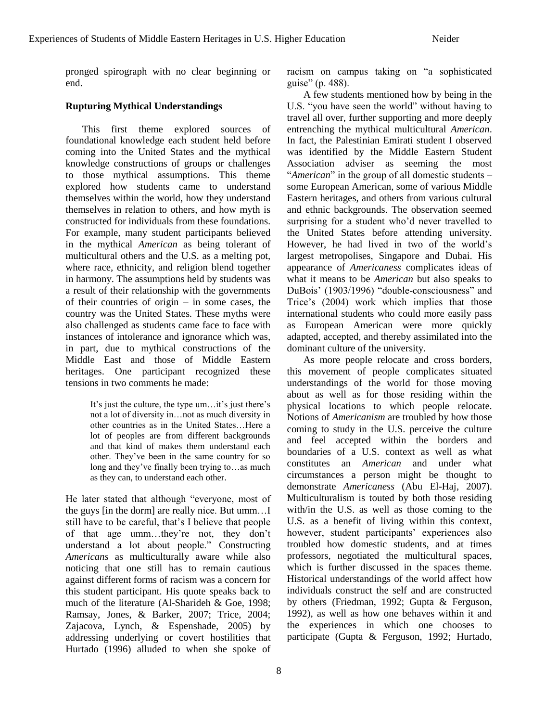pronged spirograph with no clear beginning or end.

# **Rupturing Mythical Understandings**

This first theme explored sources of foundational knowledge each student held before coming into the United States and the mythical knowledge constructions of groups or challenges to those mythical assumptions. This theme explored how students came to understand themselves within the world, how they understand themselves in relation to others, and how myth is constructed for individuals from these foundations. For example, many student participants believed in the mythical *American* as being tolerant of multicultural others and the U.S. as a melting pot, where race, ethnicity, and religion blend together in harmony. The assumptions held by students was a result of their relationship with the governments of their countries of origin – in some cases, the country was the United States. These myths were also challenged as students came face to face with instances of intolerance and ignorance which was, in part, due to mythical constructions of the Middle East and those of Middle Eastern heritages. One participant recognized these tensions in two comments he made:

> It's just the culture, the type um…it's just there's not a lot of diversity in…not as much diversity in other countries as in the United States…Here a lot of peoples are from different backgrounds and that kind of makes them understand each other. They've been in the same country for so long and they've finally been trying to…as much as they can, to understand each other.

He later stated that although "everyone, most of the guys [in the dorm] are really nice. But umm…I still have to be careful, that's I believe that people of that age umm…they're not, they don't understand a lot about people." Constructing *Americans* as multiculturally aware while also noticing that one still has to remain cautious against different forms of racism was a concern for this student participant. His quote speaks back to much of the literature (Al-Sharideh & Goe, 1998; Ramsay, Jones, & Barker, 2007; Trice, 2004; Zajacova, Lynch, & Espenshade, 2005) by addressing underlying or covert hostilities that Hurtado (1996) alluded to when she spoke of

racism on campus taking on "a sophisticated" guise" (p. 488).

A few students mentioned how by being in the U.S. "you have seen the world" without having to travel all over, further supporting and more deeply entrenching the mythical multicultural *American*. In fact, the Palestinian Emirati student I observed was identified by the Middle Eastern Student Association adviser as seeming the most "*American*" in the group of all domestic students – some European American, some of various Middle Eastern heritages, and others from various cultural and ethnic backgrounds. The observation seemed surprising for a student who'd never travelled to the United States before attending university. However, he had lived in two of the world's largest metropolises, Singapore and Dubai. His appearance of *Americaness* complicates ideas of what it means to be *American* but also speaks to DuBois' (1903/1996) "double-consciousness" and Trice's (2004) work which implies that those international students who could more easily pass as European American were more quickly adapted, accepted, and thereby assimilated into the dominant culture of the university.

As more people relocate and cross borders, this movement of people complicates situated understandings of the world for those moving about as well as for those residing within the physical locations to which people relocate. Notions of *Americanism* are troubled by how those coming to study in the U.S. perceive the culture and feel accepted within the borders and boundaries of a U.S. context as well as what constitutes an *American* and under what circumstances a person might be thought to demonstrate *Americaness* (Abu El-Haj, 2007). Multiculturalism is touted by both those residing with/in the U.S. as well as those coming to the U.S. as a benefit of living within this context, however, student participants' experiences also troubled how domestic students, and at times professors, negotiated the multicultural spaces, which is further discussed in the spaces theme. Historical understandings of the world affect how individuals construct the self and are constructed by others (Friedman, 1992; Gupta & Ferguson, 1992), as well as how one behaves within it and the experiences in which one chooses to participate (Gupta & Ferguson, 1992; Hurtado,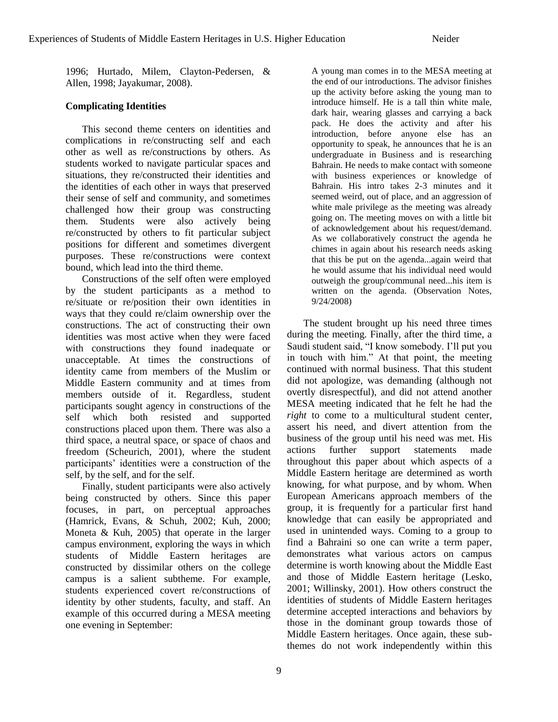1996; Hurtado, Milem, Clayton-Pedersen, & Allen, 1998; Jayakumar, 2008).

# **Complicating Identities**

This second theme centers on identities and complications in re/constructing self and each other as well as re/constructions by others. As students worked to navigate particular spaces and situations, they re/constructed their identities and the identities of each other in ways that preserved their sense of self and community, and sometimes challenged how their group was constructing them. Students were also actively being re/constructed by others to fit particular subject positions for different and sometimes divergent purposes. These re/constructions were context bound, which lead into the third theme.

Constructions of the self often were employed by the student participants as a method to re/situate or re/position their own identities in ways that they could re/claim ownership over the constructions. The act of constructing their own identities was most active when they were faced with constructions they found inadequate or unacceptable. At times the constructions of identity came from members of the Muslim or Middle Eastern community and at times from members outside of it. Regardless, student participants sought agency in constructions of the self which both resisted and supported constructions placed upon them. There was also a third space, a neutral space, or space of chaos and freedom (Scheurich, 2001), where the student participants' identities were a construction of the self, by the self, and for the self.

Finally, student participants were also actively being constructed by others. Since this paper focuses, in part, on perceptual approaches (Hamrick, Evans, & Schuh, 2002; Kuh, 2000; Moneta & Kuh, 2005) that operate in the larger campus environment, exploring the ways in which students of Middle Eastern heritages are constructed by dissimilar others on the college campus is a salient subtheme. For example, students experienced covert re/constructions of identity by other students, faculty, and staff. An example of this occurred during a MESA meeting one evening in September:

A young man comes in to the MESA meeting at the end of our introductions. The advisor finishes up the activity before asking the young man to introduce himself. He is a tall thin white male, dark hair, wearing glasses and carrying a back pack. He does the activity and after his introduction, before anyone else has an opportunity to speak, he announces that he is an undergraduate in Business and is researching Bahrain. He needs to make contact with someone with business experiences or knowledge of Bahrain. His intro takes 2-3 minutes and it seemed weird, out of place, and an aggression of white male privilege as the meeting was already going on. The meeting moves on with a little bit of acknowledgement about his request/demand. As we collaboratively construct the agenda he chimes in again about his research needs asking that this be put on the agenda...again weird that he would assume that his individual need would outweigh the group/communal need...his item is written on the agenda. (Observation Notes, 9/24/2008)

The student brought up his need three times during the meeting. Finally, after the third time, a Saudi student said, "I know somebody. I'll put you in touch with him." At that point, the meeting continued with normal business. That this student did not apologize, was demanding (although not overtly disrespectful), and did not attend another MESA meeting indicated that he felt he had the *right* to come to a multicultural student center, assert his need, and divert attention from the business of the group until his need was met. His actions further support statements made throughout this paper about which aspects of a Middle Eastern heritage are determined as worth knowing, for what purpose, and by whom. When European Americans approach members of the group, it is frequently for a particular first hand knowledge that can easily be appropriated and used in unintended ways. Coming to a group to find a Bahraini so one can write a term paper, demonstrates what various actors on campus determine is worth knowing about the Middle East and those of Middle Eastern heritage (Lesko, 2001; Willinsky, 2001). How others construct the identities of students of Middle Eastern heritages determine accepted interactions and behaviors by those in the dominant group towards those of Middle Eastern heritages. Once again, these subthemes do not work independently within this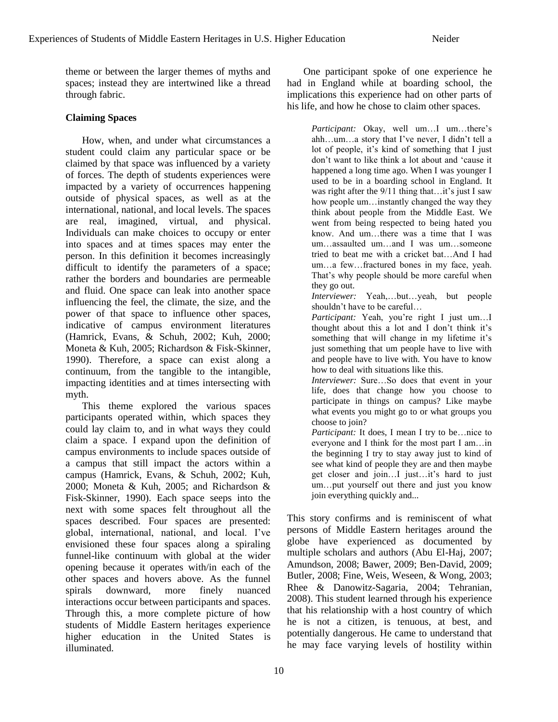theme or between the larger themes of myths and spaces; instead they are intertwined like a thread through fabric.

# **Claiming Spaces**

How, when, and under what circumstances a student could claim any particular space or be claimed by that space was influenced by a variety of forces. The depth of students experiences were impacted by a variety of occurrences happening outside of physical spaces, as well as at the international, national, and local levels. The spaces are real, imagined, virtual, and physical. Individuals can make choices to occupy or enter into spaces and at times spaces may enter the person. In this definition it becomes increasingly difficult to identify the parameters of a space; rather the borders and boundaries are permeable and fluid. One space can leak into another space influencing the feel, the climate, the size, and the power of that space to influence other spaces, indicative of campus environment literatures (Hamrick, Evans, & Schuh, 2002; Kuh, 2000; Moneta & Kuh, 2005; Richardson & Fisk-Skinner, 1990). Therefore, a space can exist along a continuum, from the tangible to the intangible, impacting identities and at times intersecting with myth.

This theme explored the various spaces participants operated within, which spaces they could lay claim to, and in what ways they could claim a space. I expand upon the definition of campus environments to include spaces outside of a campus that still impact the actors within a campus (Hamrick, Evans, & Schuh, 2002; Kuh, 2000; Moneta & Kuh, 2005; and Richardson & Fisk-Skinner, 1990). Each space seeps into the next with some spaces felt throughout all the spaces described. Four spaces are presented: global, international, national, and local. I've envisioned these four spaces along a spiraling funnel-like continuum with global at the wider opening because it operates with/in each of the other spaces and hovers above. As the funnel spirals downward, more finely nuanced interactions occur between participants and spaces. Through this, a more complete picture of how students of Middle Eastern heritages experience higher education in the United States is illuminated.

One participant spoke of one experience he had in England while at boarding school, the implications this experience had on other parts of his life, and how he chose to claim other spaces.

> *Participant:* Okay, well um…I um…there's ahh…um…a story that I've never, I didn't tell a lot of people, it's kind of something that I just don't want to like think a lot about and 'cause it happened a long time ago. When I was younger I used to be in a boarding school in England. It was right after the 9/11 thing that...it's just I saw how people um…instantly changed the way they think about people from the Middle East. We went from being respected to being hated you know. And um…there was a time that I was um…assaulted um…and I was um…someone tried to beat me with a cricket bat…And I had um…a few…fractured bones in my face, yeah. That's why people should be more careful when they go out.

> *Interviewer:* Yeah,…but…yeah, but people shouldn't have to be careful…

> *Participant:* Yeah, you're right I just um…I thought about this a lot and I don't think it's something that will change in my lifetime it's just something that um people have to live with and people have to live with. You have to know how to deal with situations like this.

> *Interviewer:* Sure…So does that event in your life, does that change how you choose to participate in things on campus? Like maybe what events you might go to or what groups you choose to join?

> *Participant:* It does, I mean I try to be…nice to everyone and I think for the most part I am…in the beginning I try to stay away just to kind of see what kind of people they are and then maybe get closer and join…I just…it's hard to just um…put yourself out there and just you know join everything quickly and...

This story confirms and is reminiscent of what persons of Middle Eastern heritages around the globe have experienced as documented by multiple scholars and authors (Abu El-Haj, 2007; Amundson, 2008; Bawer, 2009; Ben-David, 2009; Butler, 2008; Fine, Weis, Weseen, & Wong, 2003; Rhee & Danowitz-Sagaria, 2004; Tehranian, 2008). This student learned through his experience that his relationship with a host country of which he is not a citizen, is tenuous, at best, and potentially dangerous. He came to understand that he may face varying levels of hostility within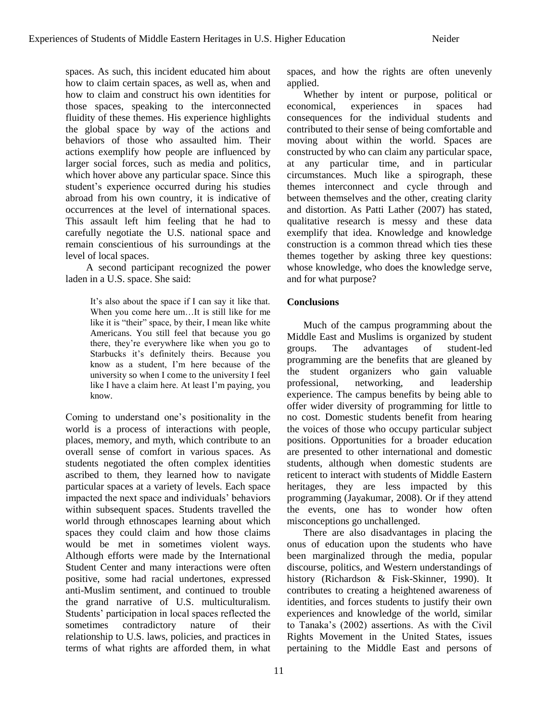spaces. As such, this incident educated him about how to claim certain spaces, as well as, when and how to claim and construct his own identities for those spaces, speaking to the interconnected fluidity of these themes. His experience highlights the global space by way of the actions and behaviors of those who assaulted him. Their actions exemplify how people are influenced by larger social forces, such as media and politics, which hover above any particular space. Since this student's experience occurred during his studies abroad from his own country, it is indicative of occurrences at the level of international spaces. This assault left him feeling that he had to carefully negotiate the U.S. national space and remain conscientious of his surroundings at the level of local spaces.

A second participant recognized the power laden in a U.S. space. She said:

> It's also about the space if I can say it like that. When you come here um…It is still like for me like it is "their" space, by their, I mean like white Americans. You still feel that because you go there, they're everywhere like when you go to Starbucks it's definitely theirs. Because you know as a student, I'm here because of the university so when I come to the university I feel like I have a claim here. At least I'm paying, you know.

Coming to understand one's positionality in the world is a process of interactions with people, places, memory, and myth, which contribute to an overall sense of comfort in various spaces. As students negotiated the often complex identities ascribed to them, they learned how to navigate particular spaces at a variety of levels. Each space impacted the next space and individuals' behaviors within subsequent spaces. Students travelled the world through ethnoscapes learning about which spaces they could claim and how those claims would be met in sometimes violent ways. Although efforts were made by the International Student Center and many interactions were often positive, some had racial undertones, expressed anti-Muslim sentiment, and continued to trouble the grand narrative of U.S. multiculturalism. Students' participation in local spaces reflected the sometimes contradictory nature of their relationship to U.S. laws, policies, and practices in terms of what rights are afforded them, in what

spaces, and how the rights are often unevenly applied.

Whether by intent or purpose, political or economical, experiences in spaces had consequences for the individual students and contributed to their sense of being comfortable and moving about within the world. Spaces are constructed by who can claim any particular space, at any particular time, and in particular circumstances. Much like a spirograph, these themes interconnect and cycle through and between themselves and the other, creating clarity and distortion. As Patti Lather (2007) has stated, qualitative research is messy and these data exemplify that idea. Knowledge and knowledge construction is a common thread which ties these themes together by asking three key questions: whose knowledge, who does the knowledge serve, and for what purpose?

# **Conclusions**

Much of the campus programming about the Middle East and Muslims is organized by student groups. The advantages of student-led programming are the benefits that are gleaned by the student organizers who gain valuable professional, networking, and leadership experience. The campus benefits by being able to offer wider diversity of programming for little to no cost. Domestic students benefit from hearing the voices of those who occupy particular subject positions. Opportunities for a broader education are presented to other international and domestic students, although when domestic students are reticent to interact with students of Middle Eastern heritages, they are less impacted by this programming (Jayakumar, 2008). Or if they attend the events, one has to wonder how often misconceptions go unchallenged.

There are also disadvantages in placing the onus of education upon the students who have been marginalized through the media, popular discourse, politics, and Western understandings of history (Richardson & Fisk-Skinner, 1990). It contributes to creating a heightened awareness of identities, and forces students to justify their own experiences and knowledge of the world, similar to Tanaka's (2002) assertions. As with the Civil Rights Movement in the United States, issues pertaining to the Middle East and persons of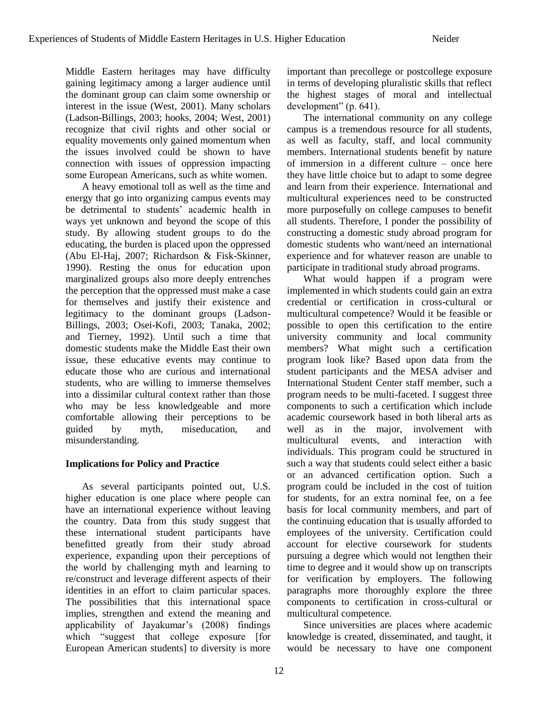Middle Eastern heritages may have difficulty gaining legitimacy among a larger audience until the dominant group can claim some ownership or interest in the issue (West, 2001). Many scholars (Ladson-Billings, 2003; hooks, 2004; West, 2001) recognize that civil rights and other social or equality movements only gained momentum when the issues involved could be shown to have connection with issues of oppression impacting some European Americans, such as white women.

A heavy emotional toll as well as the time and energy that go into organizing campus events may be detrimental to students' academic health in ways yet unknown and beyond the scope of this study. By allowing student groups to do the educating, the burden is placed upon the oppressed (Abu El-Haj, 2007; Richardson & Fisk-Skinner, 1990). Resting the onus for education upon marginalized groups also more deeply entrenches the perception that the oppressed must make a case for themselves and justify their existence and legitimacy to the dominant groups (Ladson-Billings, 2003; Osei-Kofi, 2003; Tanaka, 2002; and Tierney, 1992). Until such a time that domestic students make the Middle East their own issue, these educative events may continue to educate those who are curious and international students, who are willing to immerse themselves into a dissimilar cultural context rather than those who may be less knowledgeable and more comfortable allowing their perceptions to be guided by myth, miseducation, and misunderstanding.

# **Implications for Policy and Practice**

As several participants pointed out, U.S. higher education is one place where people can have an international experience without leaving the country. Data from this study suggest that these international student participants have benefitted greatly from their study abroad experience, expanding upon their perceptions of the world by challenging myth and learning to re/construct and leverage different aspects of their identities in an effort to claim particular spaces. The possibilities that this international space implies, strengthen and extend the meaning and applicability of Jayakumar's (2008) findings which "suggest that college exposure [for European American students] to diversity is more

important than precollege or postcollege exposure in terms of developing pluralistic skills that reflect the highest stages of moral and intellectual  $development" (p. 641).$ 

The international community on any college campus is a tremendous resource for all students, as well as faculty, staff, and local community members. International students benefit by nature of immersion in a different culture – once here they have little choice but to adapt to some degree and learn from their experience. International and multicultural experiences need to be constructed more purposefully on college campuses to benefit all students. Therefore, I ponder the possibility of constructing a domestic study abroad program for domestic students who want/need an international experience and for whatever reason are unable to participate in traditional study abroad programs.

What would happen if a program were implemented in which students could gain an extra credential or certification in cross-cultural or multicultural competence? Would it be feasible or possible to open this certification to the entire university community and local community members? What might such a certification program look like? Based upon data from the student participants and the MESA adviser and International Student Center staff member, such a program needs to be multi-faceted. I suggest three components to such a certification which include academic coursework based in both liberal arts as well as in the major, involvement with multicultural events, and interaction with individuals. This program could be structured in such a way that students could select either a basic or an advanced certification option. Such a program could be included in the cost of tuition for students, for an extra nominal fee, on a fee basis for local community members, and part of the continuing education that is usually afforded to employees of the university. Certification could account for elective coursework for students pursuing a degree which would not lengthen their time to degree and it would show up on transcripts for verification by employers. The following paragraphs more thoroughly explore the three components to certification in cross-cultural or multicultural competence.

Since universities are places where academic knowledge is created, disseminated, and taught, it would be necessary to have one component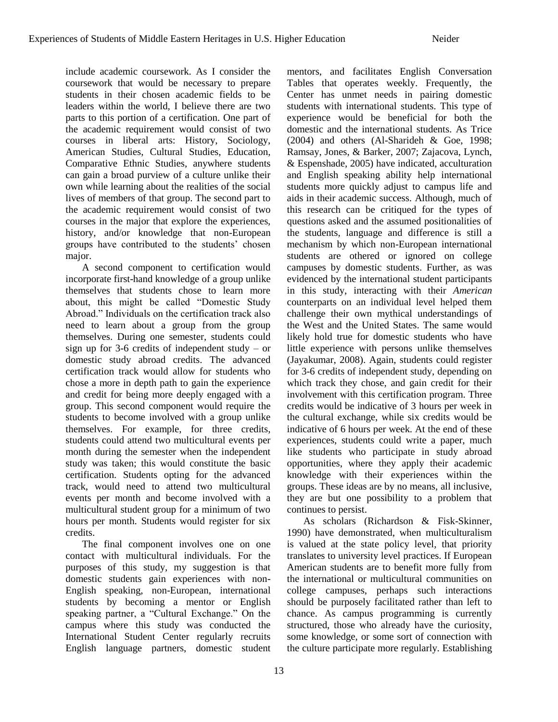include academic coursework. As I consider the coursework that would be necessary to prepare students in their chosen academic fields to be leaders within the world, I believe there are two parts to this portion of a certification. One part of the academic requirement would consist of two courses in liberal arts: History, Sociology, American Studies, Cultural Studies, Education, Comparative Ethnic Studies, anywhere students can gain a broad purview of a culture unlike their own while learning about the realities of the social lives of members of that group. The second part to the academic requirement would consist of two courses in the major that explore the experiences, history, and/or knowledge that non-European groups have contributed to the students' chosen major.

A second component to certification would incorporate first-hand knowledge of a group unlike themselves that students chose to learn more about, this might be called "Domestic Study Abroad." Individuals on the certification track also need to learn about a group from the group themselves. During one semester, students could sign up for 3-6 credits of independent study – or domestic study abroad credits. The advanced certification track would allow for students who chose a more in depth path to gain the experience and credit for being more deeply engaged with a group. This second component would require the students to become involved with a group unlike themselves. For example, for three credits, students could attend two multicultural events per month during the semester when the independent study was taken; this would constitute the basic certification. Students opting for the advanced track, would need to attend two multicultural events per month and become involved with a multicultural student group for a minimum of two hours per month. Students would register for six credits.

The final component involves one on one contact with multicultural individuals. For the purposes of this study, my suggestion is that domestic students gain experiences with non-English speaking, non-European, international students by becoming a mentor or English speaking partner, a "Cultural Exchange." On the campus where this study was conducted the International Student Center regularly recruits English language partners, domestic student

13

mentors, and facilitates English Conversation Tables that operates weekly. Frequently, the Center has unmet needs in pairing domestic students with international students. This type of experience would be beneficial for both the domestic and the international students. As Trice (2004) and others (Al-Sharideh & Goe, 1998; Ramsay, Jones, & Barker, 2007; Zajacova, Lynch, & Espenshade, 2005) have indicated, acculturation and English speaking ability help international students more quickly adjust to campus life and aids in their academic success. Although, much of this research can be critiqued for the types of questions asked and the assumed positionalities of the students, language and difference is still a mechanism by which non-European international students are othered or ignored on college campuses by domestic students. Further, as was evidenced by the international student participants in this study, interacting with their *American* counterparts on an individual level helped them challenge their own mythical understandings of the West and the United States. The same would likely hold true for domestic students who have little experience with persons unlike themselves (Jayakumar, 2008). Again, students could register for 3-6 credits of independent study, depending on which track they chose, and gain credit for their involvement with this certification program. Three credits would be indicative of 3 hours per week in the cultural exchange, while six credits would be indicative of 6 hours per week. At the end of these experiences, students could write a paper, much like students who participate in study abroad opportunities, where they apply their academic knowledge with their experiences within the groups. These ideas are by no means, all inclusive, they are but one possibility to a problem that continues to persist.

As scholars (Richardson & Fisk-Skinner, 1990) have demonstrated, when multiculturalism is valued at the state policy level, that priority translates to university level practices. If European American students are to benefit more fully from the international or multicultural communities on college campuses, perhaps such interactions should be purposely facilitated rather than left to chance. As campus programming is currently structured, those who already have the curiosity, some knowledge, or some sort of connection with the culture participate more regularly. Establishing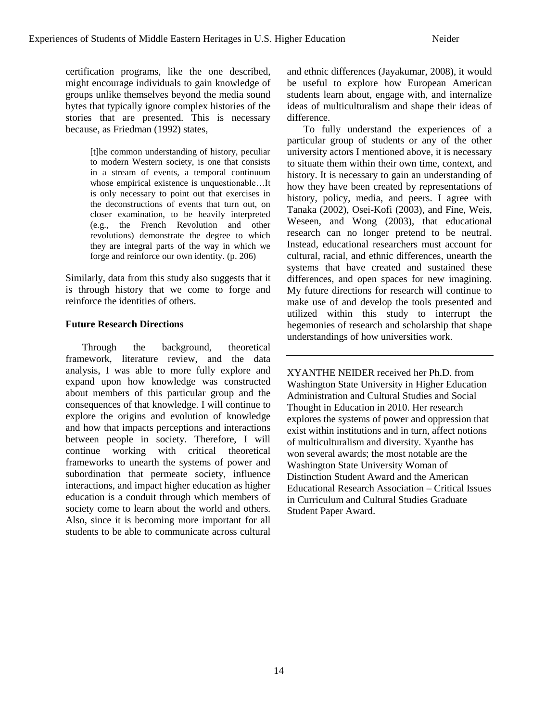certification programs, like the one described, might encourage individuals to gain knowledge of groups unlike themselves beyond the media sound bytes that typically ignore complex histories of the stories that are presented. This is necessary because, as Friedman (1992) states,

> [t]he common understanding of history, peculiar to modern Western society, is one that consists in a stream of events, a temporal continuum whose empirical existence is unquestionable…It is only necessary to point out that exercises in the deconstructions of events that turn out, on closer examination, to be heavily interpreted (e.g., the French Revolution and other revolutions) demonstrate the degree to which they are integral parts of the way in which we forge and reinforce our own identity. (p. 206)

Similarly, data from this study also suggests that it is through history that we come to forge and reinforce the identities of others.

# **Future Research Directions**

Through the background, theoretical framework, literature review, and the data analysis, I was able to more fully explore and expand upon how knowledge was constructed about members of this particular group and the consequences of that knowledge. I will continue to explore the origins and evolution of knowledge and how that impacts perceptions and interactions between people in society. Therefore, I will continue working with critical theoretical frameworks to unearth the systems of power and subordination that permeate society, influence interactions, and impact higher education as higher education is a conduit through which members of society come to learn about the world and others. Also, since it is becoming more important for all students to be able to communicate across cultural and ethnic differences (Jayakumar, 2008), it would be useful to explore how European American students learn about, engage with, and internalize ideas of multiculturalism and shape their ideas of difference.

To fully understand the experiences of a particular group of students or any of the other university actors I mentioned above, it is necessary to situate them within their own time, context, and history. It is necessary to gain an understanding of how they have been created by representations of history, policy, media, and peers. I agree with Tanaka (2002), Osei-Kofi (2003), and Fine, Weis, Weseen, and Wong (2003), that educational research can no longer pretend to be neutral. Instead, educational researchers must account for cultural, racial, and ethnic differences, unearth the systems that have created and sustained these differences, and open spaces for new imagining. My future directions for research will continue to make use of and develop the tools presented and utilized within this study to interrupt the hegemonies of research and scholarship that shape understandings of how universities work.

XYANTHE NEIDER received her Ph.D. from Washington State University in Higher Education Administration and Cultural Studies and Social Thought in Education in 2010. Her research explores the systems of power and oppression that exist within institutions and in turn, affect notions of multiculturalism and diversity. Xyanthe has won several awards; the most notable are the Washington State University Woman of Distinction Student Award and the American Educational Research Association – Critical Issues in Curriculum and Cultural Studies Graduate Student Paper Award.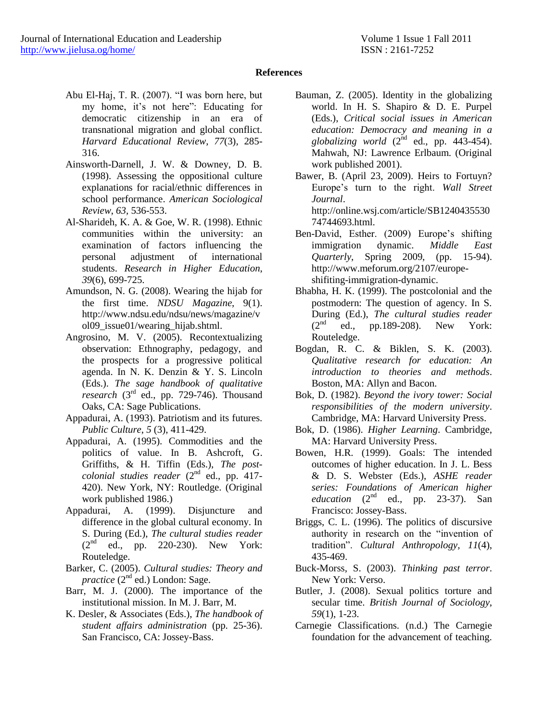# **References**

- Abu El-Haj, T. R. (2007). "I was born here, but my home, it's not here": Educating for democratic citizenship in an era of transnational migration and global conflict. *Harvard Educational Review*, *77*(3), 285- 316.
- Ainsworth-Darnell, J. W. & Downey, D. B. (1998). Assessing the oppositional culture explanations for racial/ethnic differences in school performance. *American Sociological Review*, *63,* 536-553.
- Al-Sharideh, K. A. & Goe, W. R. (1998). Ethnic communities within the university: an examination of factors influencing the personal adjustment of international students. *Research in Higher Education*, *39*(6), 699-725.
- Amundson, N. G. (2008). Wearing the hijab for the first time. *NDSU Magazine*, 9(1). http://www.ndsu.edu/ndsu/news/magazine/v ol09\_issue01/wearing\_hijab.shtml.
- Angrosino, M. V. (2005). Recontextualizing observation: Ethnography, pedagogy, and the prospects for a progressive political agenda. In N. K. Denzin & Y. S. Lincoln (Eds.). *The sage handbook of qualitative research* (3rd ed., pp. 729-746). Thousand Oaks, CA: Sage Publications.
- Appadurai, A. (1993). Patriotism and its futures. *Public Culture*, *5* (3), 411-429.
- Appadurai, A. (1995). Commodities and the politics of value. In B. Ashcroft, G. Griffiths, & H. Tiffin (Eds.), *The postcolonial studies reader* (2<sup>nd</sup> ed., pp. 417-420). New York, NY: Routledge. (Original work published 1986.)
- Appadurai, A. (1999). Disjuncture and difference in the global cultural economy. In S. During (Ed.), *The cultural studies reader*  $(2^{nd}$  ed., pp. 220-230). New York: Routeledge.
- Barker, C. (2005). *Cultural studies: Theory and practice* (2<sup>nd</sup> ed.) London: Sage.
- Barr, M. J. (2000). The importance of the institutional mission. In M. J. Barr, M.
- K. Desler, & Associates (Eds.), *The handbook of student affairs administration* (pp. 25-36). San Francisco, CA: Jossey-Bass.
- Bauman, Z. (2005). Identity in the globalizing world. In H. S. Shapiro & D. E. Purpel (Eds.), *Critical social issues in American education: Democracy and meaning in a globalizing world*  $(2^{nd}$  ed., pp. 443-454). Mahwah, NJ: Lawrence Erlbaum. (Original work published 2001).
- Bawer, B. (April 23, 2009). Heirs to Fortuyn? Europe's turn to the right. *Wall Street Journal*. http://online.wsj.com/article/SB1240435530
- 74744693.html. Ben-David, Esther. (2009) Europe's shifting immigration dynamic. *Middle East Quarterly*, Spring 2009, (pp. 15-94). http://www.meforum.org/2107/europeshifiting-immigration-dynamic.
- Bhabha, H. K. (1999). The postcolonial and the postmodern: The question of agency. In S. During (Ed.), *The cultural studies reader*  $(2<sup>nd</sup>$  ed., pp.189-208). New York: Routeledge.
- Bogdan, R. C. & Biklen, S. K. (2003). *Qualitative research for education: An introduction to theories and methods*. Boston, MA: Allyn and Bacon.
- Bok, D. (1982). *Beyond the ivory tower: Social responsibilities of the modern university*. Cambridge, MA: Harvard University Press.
- Bok, D. (1986). *Higher Learning*. Cambridge, MA: Harvard University Press.
- Bowen, H.R. (1999). Goals: The intended outcomes of higher education. In J. L. Bess & D. S. Webster (Eds.), *ASHE reader series: Foundations of American higher*   $e$ *ducation*  $(2<sup>nd</sup>$  ed., pp. 23-37). San Francisco: Jossey-Bass.
- Briggs, C. L. (1996). The politics of discursive authority in research on the "invention of tradition‖. *Cultural Anthropology, 11*(4), 435-469.
- Buck-Morss, S. (2003). *Thinking past terror*. New York: Verso.
- Butler, J. (2008). Sexual politics torture and secular time. *British Journal of Sociology*, *59*(1), 1-23.
- Carnegie Classifications. (n.d.) The Carnegie foundation for the advancement of teaching.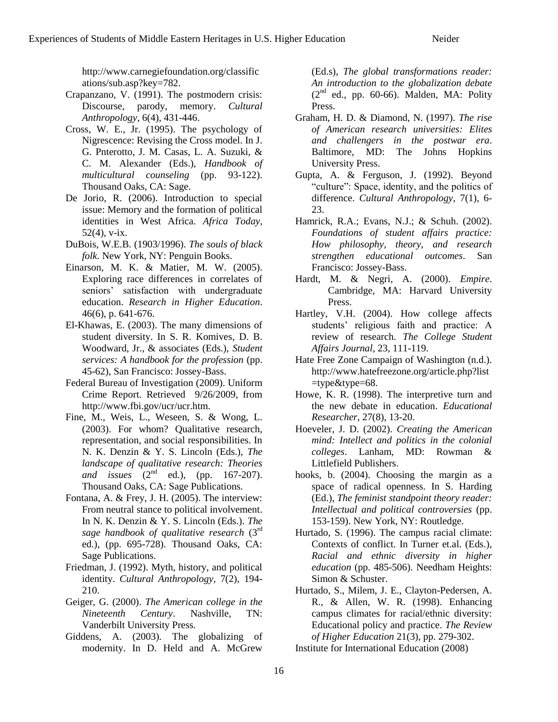http://www.carnegiefoundation.org/classific ations/sub.asp?key=782.

- Crapanzano, V. (1991). The postmodern crisis: Discourse, parody, memory. *Cultural Anthropology*, 6(4), 431-446.
- Cross, W. E., Jr. (1995). The psychology of Nigrescence: Revising the Cross model. In J. G. Pnterotto, J. M. Casas, L. A. Suzuki, & C. M. Alexander (Eds.), *Handbook of multicultural counseling* (pp. 93-122). Thousand Oaks, CA: Sage.
- De Jorio, R. (2006). Introduction to special issue: Memory and the formation of political identities in West Africa. *Africa Today*, 52(4), v-ix.
- DuBois, W.E.B. (1903/1996). *The souls of black folk*. New York, NY: Penguin Books.
- Einarson, M. K. & Matier, M. W. (2005). Exploring race differences in correlates of seniors' satisfaction with undergraduate education. *Research in Higher Education*. 46(6), p. 641-676.
- El-Khawas, E. (2003). The many dimensions of student diversity. In S. R. Komives, D. B. Woodward, Jr., & associates (Eds.), *Student services: A handbook for the profession* (pp. 45-62), San Francisco: Jossey-Bass.
- Federal Bureau of Investigation (2009). Uniform Crime Report. Retrieved 9/26/2009, from http://www.fbi.gov/ucr/ucr.htm.
- Fine, M., Weis, L., Weseen, S. & Wong, L. (2003). For whom? Qualitative research, representation, and social responsibilities. In N. K. Denzin & Y. S. Lincoln (Eds.), *The landscape of qualitative research: Theories and issues* (2<sup>nd</sup> ed.), (pp. 167-207). Thousand Oaks, CA: Sage Publications.
- Fontana, A. & Frey, J. H. (2005). The interview: From neutral stance to political involvement. In N. K. Denzin & Y. S. Lincoln (Eds.). *The sage handbook of qualitative research* (3rd ed.), (pp. 695-728). Thousand Oaks, CA: Sage Publications.
- Friedman, J. (1992). Myth, history, and political identity. *Cultural Anthropology*, 7(2), 194- 210.
- Geiger, G. (2000). *The American college in the Nineteenth Century*. Nashville, TN: Vanderbilt University Press.
- Giddens, A. (2003). The globalizing of modernity. In D. Held and A. McGrew

(Ed.s), *The global transformations reader: An introduction to the globalization debate*  $(2<sup>nd</sup>$  ed., pp. 60-66). Malden, MA: Polity Press.

- Graham, H. D. & Diamond, N. (1997). *The rise of American research universities: Elites and challengers in the postwar era*. Baltimore, MD: The Johns Hopkins University Press.
- Gupta, A. & Ferguson, J. (1992). Beyond "culture": Space, identity, and the politics of difference. *Cultural Anthropology*, 7(1), 6- 23.
- Hamrick, R.A.; Evans, N.J.; & Schuh. (2002). *Foundations of student affairs practice: How philosophy, theory, and research strengthen educational outcomes*. San Francisco: Jossey-Bass.
- Hardt, M. & Negri, A. (2000). *Empire*. Cambridge, MA: Harvard University Press.
- Hartley, V.H. (2004). How college affects students' religious faith and practice: A review of research. *The College Student Affairs Journal*, 23, 111-119.
- Hate Free Zone Campaign of Washington (n.d.). http://www.hatefreezone.org/article.php?list  $=$ type $&$ type $=$ 68.
- Howe, K. R. (1998). The interpretive turn and the new debate in education. *Educational Researcher*, 27(8), 13-20.
- Hoeveler, J. D. (2002). *Creating the American mind: Intellect and politics in the colonial colleges*. Lanham, MD: Rowman & Littlefield Publishers.
- hooks, b. (2004). Choosing the margin as a space of radical openness. In S. Harding (Ed.), *The feminist standpoint theory reader: Intellectual and political controversies* (pp. 153-159). New York, NY: Routledge.
- Hurtado, S. (1996). The campus racial climate: Contexts of conflict. In Turner et.al. (Eds.), *Racial and ethnic diversity in higher education* (pp. 485-506). Needham Heights: Simon & Schuster.
- Hurtado, S., Milem, J. E., Clayton-Pedersen, A. R., & Allen, W. R. (1998). Enhancing campus climates for racial/ethnic diversity: Educational policy and practice. *The Review of Higher Education* 21(3), pp. 279-302.

Institute for International Education (2008)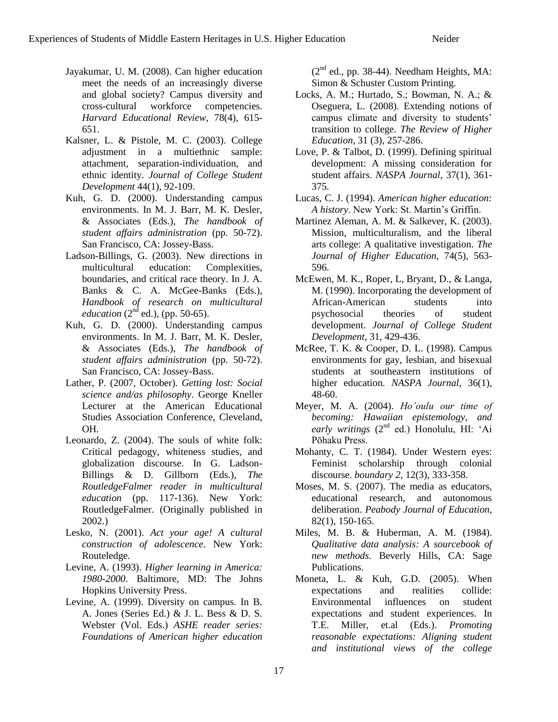- Jayakumar, U. M. (2008). Can higher education meet the needs of an increasingly diverse and global society? Campus diversity and cross-cultural workforce competencies. *Harvard Educational Review*, 78(4), 615- 651.
- Kalsner, L. & Pistole, M. C. (2003). College adjustment in a multiethnic sample: attachment, separation-individuation, and ethnic identity. *Journal of College Student Development* 44(1), 92-109.
- Kuh, G. D. (2000). Understanding campus environments. In M. J. Barr, M. K. Desler, & Associates (Eds.), *The handbook of student affairs administration* (pp. 50-72). San Francisco, CA: Jossey-Bass.
- Ladson-Billings, G. (2003). New directions in multicultural education: Complexities, boundaries, and critical race theory. In J. A. Banks & C. A. McGee-Banks (Eds.), *Handbook of research on multicultural education* ( $2^{nd}$  ed.), (pp. 50-65).
- Kuh, G. D. (2000). Understanding campus environments. In M. J. Barr, M. K. Desler, & Associates (Eds.), *The handbook of student affairs administration* (pp. 50-72). San Francisco, CA: Jossey-Bass.
- Lather, P. (2007, October). *Getting lost: Social science and/as philosophy*. George Kneller Lecturer at the American Educational Studies Association Conference, Cleveland, OH.
- Leonardo, Z. (2004). The souls of white folk: Critical pedagogy, whiteness studies, and globalization discourse. In G. Ladson-Billings & D. Gillborn (Eds.), *The RoutledgeFalmer reader in multicultural education* (pp. 117-136). New York: RoutledgeFalmer. (Originally published in 2002.)
- Lesko, N. (2001). *Act your age! A cultural construction of adolescence*. New York: Routeledge.
- Levine, A. (1993). *Higher learning in America: 1980-2000*. Baltimore, MD: The Johns Hopkins University Press.
- Levine, A. (1999). Diversity on campus. In B. A. Jones (Series Ed.) & J. L. Bess & D. S. Webster (Vol. Eds.) *ASHE reader series: Foundations of American higher education*

 $(2<sup>nd</sup>$  ed., pp. 38-44). Needham Heights, MA: Simon & Schuster Custom Printing.

- Locks, A. M.; Hurtado, S.; Bowman, N. A.; & Oseguera, L. (2008). Extending notions of campus climate and diversity to students' transition to college. *The Review of Higher Education*, 31 (3), 257-286.
- Love, P. & Talbot, D. (1999). Defining spiritual development: A missing consideration for student affairs. *NASPA Journal*, 37(1), 361- 375.
- Lucas, C. J. (1994). *American higher education: A history*. New York: St. Martin's Griffin.
- Martinez Aleman, A. M. & Salkever, K. (2003). Mission, multiculturalism, and the liberal arts college: A qualitative investigation. *The Journal of Higher Education*, 74(5), 563- 596.
- McEwen, M. K., Roper, L, Bryant, D., & Langa, M. (1990). Incorporating the development of African-American students into psychosocial theories of student development. *Journal of College Student Development*, 31, 429-436.
- McRee, T. K. & Cooper, D. L. (1998). Campus environments for gay, lesbian, and bisexual students at southeastern institutions of higher education. *NASPA Journal*, 36(1), 48-60.
- Meyer, M. A. (2004). *Ho'oulu our time of becoming: Hawaiian epistemology, and early writings* (2nd ed.) Honolulu, HI: ‗Ai Pōhaku Press.
- Mohanty, C. T. (1984). Under Western eyes: Feminist scholarship through colonial discourse. *boundary 2*, 12(3), 333-358.
- Moses, M. S. (2007). The media as educators, educational research, and autonomous deliberation. *Peabody Journal of Education*, 82(1), 150-165.
- Miles, M. B. & Huberman, A. M. (1984). *Qualitative data analysis: A sourcebook of new methods*. Beverly Hills, CA: Sage Publications.
- Moneta, L. & Kuh, G.D. (2005). When expectations and realities collide: Environmental influences on student expectations and student experiences. In T.E. Miller, et.al (Eds.). *Promoting reasonable expectations: Aligning student and institutional views of the college*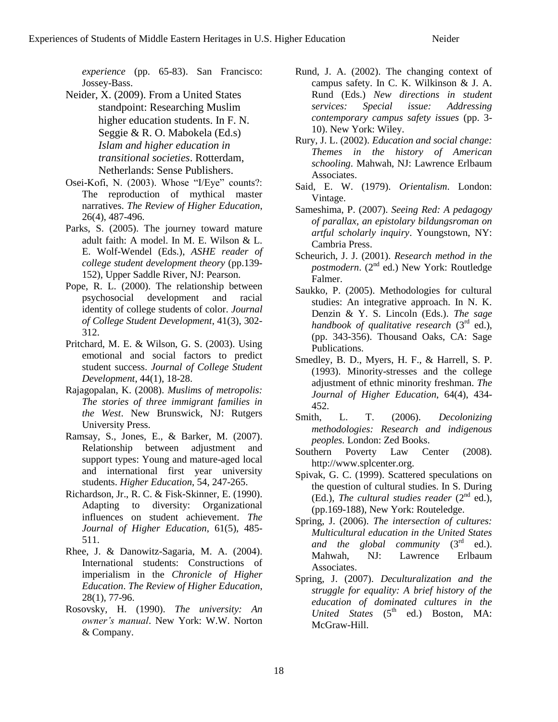*experience* (pp. 65-83). San Francisco: Jossey-Bass.

- Neider, X. (2009). From a United States standpoint: Researching Muslim higher education students. In F. N. Seggie & R. O. Mabokela (Ed.s) *Islam and higher education in transitional societies*. Rotterdam, Netherlands: Sense Publishers.
- Osei-Kofi, N. (2003). Whose "I/Eye" counts?: The reproduction of mythical master narratives. *The Review of Higher Education*, 26(4), 487-496.
- Parks, S. (2005). The journey toward mature adult faith: A model. In M. E. Wilson & L. E. Wolf-Wendel (Eds.), *ASHE reader of college student development theory* (pp.139- 152), Upper Saddle River, NJ: Pearson.
- Pope, R. L. (2000). The relationship between psychosocial development and racial identity of college students of color. *Journal of College Student Development*, 41(3), 302- 312.
- Pritchard, M. E. & Wilson, G. S. (2003). Using emotional and social factors to predict student success. *Journal of College Student Development*, 44(1), 18-28.
- Rajagopalan, K. (2008). *Muslims of metropolis: The stories of three immigrant families in the West*. New Brunswick, NJ: Rutgers University Press.
- Ramsay, S., Jones, E., & Barker, M. (2007). Relationship between adjustment and support types: Young and mature-aged local and international first year university students. *Higher Education*, 54, 247-265.
- Richardson, Jr., R. C. & Fisk-Skinner, E. (1990). Adapting to diversity: Organizational influences on student achievement. *The Journal of Higher Education*, 61(5), 485- 511.
- Rhee, J. & Danowitz-Sagaria, M. A. (2004). International students: Constructions of imperialism in the *Chronicle of Higher Education*. *The Review of Higher Education*, 28(1), 77-96.
- Rosovsky, H. (1990). *The university: An owner's manual*. New York: W.W. Norton & Company.
- Rund, J. A. (2002). The changing context of campus safety. In C. K. Wilkinson & J. A. Rund (Eds.) *New directions in student services: Special issue: Addressing contemporary campus safety issues* (pp. 3- 10). New York: Wiley.
- Rury, J. L. (2002). *Education and social change: Themes in the history of American schooling*. Mahwah, NJ: Lawrence Erlbaum Associates.
- Said, E. W. (1979). *Orientalism*. London: Vintage.
- Sameshima, P. (2007). *Seeing Red: A pedagogy of parallax, an epistolary bildungsroman on artful scholarly inquiry*. Youngstown, NY: Cambria Press.
- Scheurich, J. J. (2001). *Research method in the postmodern*. (2<sup>nd</sup> ed.) New York: Routledge Falmer.
- Saukko, P. (2005). Methodologies for cultural studies: An integrative approach. In N. K. Denzin & Y. S. Lincoln (Eds.). *The sage handbook of qualitative research* (3<sup>rd</sup> ed.), (pp. 343-356). Thousand Oaks, CA: Sage Publications.
- Smedley, B. D., Myers, H. F., & Harrell, S. P. (1993). Minority-stresses and the college adjustment of ethnic minority freshman. *The Journal of Higher Education*, 64(4), 434- 452.
- Smith, L. T. (2006). *Decolonizing methodologies: Research and indigenous peoples.* London: Zed Books.
- Southern Poverty Law Center (2008). http://www.splcenter.org.
- Spivak, G. C. (1999). Scattered speculations on the question of cultural studies. In S. During (Ed.), *The cultural studies reader*  $(2^{nd}$  ed.), (pp.169-188), New York: Routeledge.
- Spring, J. (2006). *The intersection of cultures: Multicultural education in the United States*  and the global community  $(3<sup>rd</sup>$  ed.). Mahwah, NJ: Lawrence Erlbaum Associates.
- Spring, J. (2007). *Deculturalization and the struggle for equality: A brief history of the education of dominated cultures in the United States* (5<sup>th</sup> ed.) Boston, MA: McGraw-Hill.